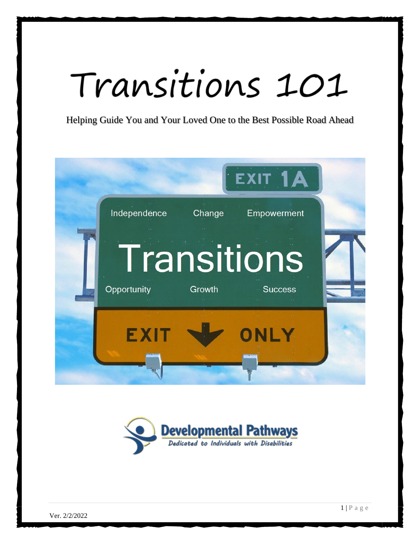# Transitions 101

Helping Guide You and Your Loved One to the Best Possible Road Ahead



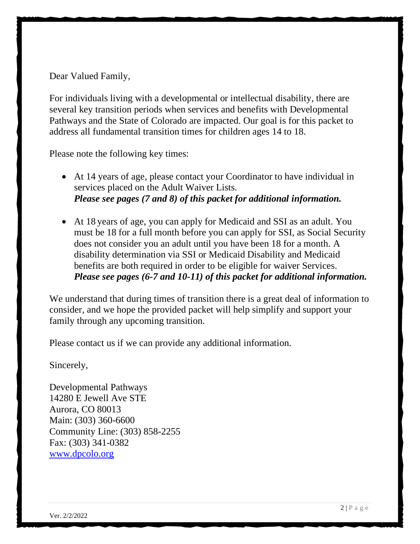Dear Valued Family,

For individuals living with a developmental or intellectual disability, there are several key transition periods when services and benefits with Developmental Pathways and the State of Colorado are impacted. Our goal is for this packet to address all fundamental transition times for children ages 14 to 18.

Please note the following key times:

- At 14 years of age, please contact your Coordinator to have individual in services placed on the Adult Waiver Lists. *Please see pages (7 and 8) of this packet for additional information.*
- At 18 years of age, you can apply for Medicaid and SSI as an adult. You must be 18 for a full month before you can apply for SSI, as Social Security does not consider you an adult until you have been 18 for a month. A disability determination via SSI or Medicaid Disability and Medicaid benefits are both required in order to be eligible for waiver Services. *Please see pages (6-7 and 10-11) of this packet for additional information.*

We understand that during times of transition there is a great deal of information to consider, and we hope the provided packet will help simplify and support your family through any upcoming transition.

Please contact us if we can provide any additional information.

Sincerely,

Developmental Pathways 14280 E Jewell Ave STE Aurora, CO 80013 Main: (303) 360-6600 Community Line: (303) 858-2255 Fax: (303) 341-0382 [www.dpcolo.org](http://www.dpcolo.org/)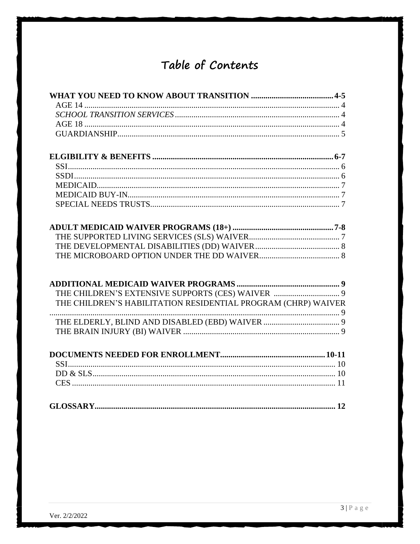# Table of Contents

| THE CHILDREN'S EXTENSIVE SUPPORTS (CES) WAIVER  9             |  |
|---------------------------------------------------------------|--|
| THE CHILDREN'S HABILITATION RESIDENTIAL PROGRAM (CHRP) WAIVER |  |
|                                                               |  |
|                                                               |  |
|                                                               |  |
|                                                               |  |
|                                                               |  |
|                                                               |  |
|                                                               |  |
|                                                               |  |
|                                                               |  |
|                                                               |  |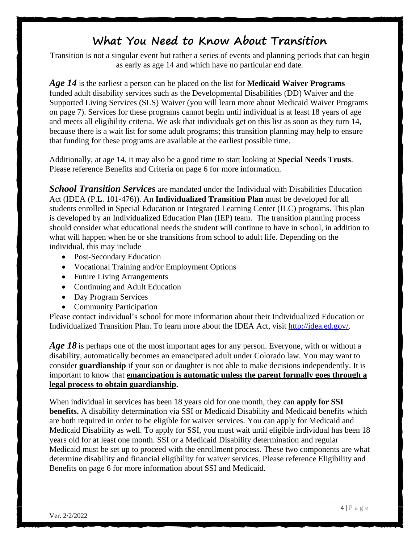## **What You Need to Know About Transition**

Transition is not a singular event but rather a series of events and planning periods that can begin as early as age 14 and which have no particular end date.

*Age 14* is the earliest a person can be placed on the list for **Medicaid Waiver Programs**– funded adult disability services such as the Developmental Disabilities (DD) Waiver and the Supported Living Services (SLS) Waiver (you will learn more about Medicaid Waiver Programs on page 7). Services for these programs cannot begin until individual is at least 18 years of age and meets all eligibility criteria. We ask that individuals get on this list as soon as they turn 14, because there is a wait list for some adult programs; this transition planning may help to ensure that funding for these programs are available at the earliest possible time.

Additionally, at age 14, it may also be a good time to start looking at **Special Needs Trusts**. Please reference Benefits and Criteria on page 6 for more information.

**School Transition Services** are mandated under the Individual with Disabilities Education Act (IDEA (P.L. 101-476)). An **Individualized Transition Plan** must be developed for all students enrolled in Special Education or Integrated Learning Center (ILC) programs. This plan is developed by an Individualized Education Plan (IEP) team. The transition planning process should consider what educational needs the student will continue to have in school, in addition to what will happen when he or she transitions from school to adult life. Depending on the individual, this may include

- Post-Secondary Education
- Vocational Training and/or Employment Options
- Future Living Arrangements
- Continuing and Adult Education
- Day Program Services
- Community Participation

Please contact individual's school for more information about their Individualized Education or Individualized Transition Plan. To learn more about the IDEA Act, visit [http://idea.ed.gov/.](http://idea.ed.gov/)

Age 18 is perhaps one of the most important ages for any person. Everyone, with or without a disability, automatically becomes an emancipated adult under Colorado law. You may want to consider **guardianship** if your son or daughter is not able to make decisions independently. It is important to know that **emancipation is automatic unless the parent formally goes through a legal process to obtain guardianship.**

When individual in services has been 18 years old for one month, they can **apply for SSI benefits.** A disability determination via SSI or Medicaid Disability and Medicaid benefits which are both required in order to be eligible for waiver services. You can apply for Medicaid and Medicaid Disability as well. To apply for SSI, you must wait until eligible individual has been 18 years old for at least one month. SSI or a Medicaid Disability determination and regular Medicaid must be set up to proceed with the enrollment process. These two components are what determine disability and financial eligibility for waiver services. Please reference Eligibility and Benefits on page 6 for more information about SSI and Medicaid.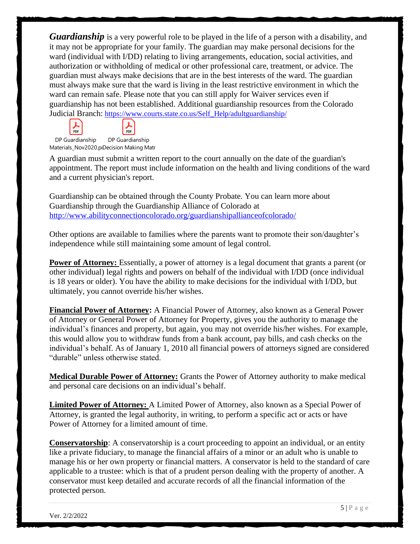*Guardianship* is a very powerful role to be played in the life of a person with a disability, and it may not be appropriate for your family. The guardian may make personal decisions for the ward (individual with I/DD) relating to living arrangements, education, social activities, and authorization or withholding of medical or other professional care, treatment, or advice. The guardian must always make decisions that are in the best interests of the ward. The guardian must always make sure that the ward is living in the least restrictive environment in which the ward can remain safe. Please note that you can still apply for Waiver services even if guardianship has not been established. Additional guardianship resources from the Colorado Judicial Branch: [https://www.courts.state.co.us/Self\\_Help/adultguardianship/](https://www.courts.state.co.us/Self_Help/adultguardianship/)

DP Guardianship Materials\_Nov2020.p<sub>'</sub>Decision Making Matr DP Guardianship

PDF

 $\frac{1}{\text{PDF}}$ 

A guardian must submit a written report to the court annually on the date of the guardian's appointment. The report must include information on the health and living conditions of the ward and a current physician's report.

Guardianship can be obtained through the County Probate. You can learn more about Guardianship through the Guardianship Alliance of Colorado at <http://www.abilityconnectioncolorado.org/guardianshipallianceofcolorado/>

Other options are available to families where the parents want to promote their son/daughter's independence while still maintaining some amount of legal control.

**Power of Attorney:** Essentially, a power of attorney is a legal document that grants a parent (or other individual) legal rights and powers on behalf of the individual with I/DD (once individual is 18 years or older). You have the ability to make decisions for the individual with I/DD, but ultimately, you cannot override his/her wishes.

**Financial Power of Attorney:** A Financial Power of Attorney, also known as a General Power of Attorney or General Power of Attorney for Property, gives you the authority to manage the individual's finances and property, but again, you may not override his/her wishes. For example, this would allow you to withdraw funds from a bank account, pay bills, and cash checks on the individual's behalf. As of January 1, 2010 all financial powers of attorneys signed are considered "durable" unless otherwise stated.

**Medical Durable Power of Attorney:** Grants the Power of Attorney authority to make medical and personal care decisions on an individual's behalf.

**Limited Power of Attorney:** A Limited Power of Attorney, also known as a Special Power of Attorney, is granted the legal authority, in writing, to perform a specific act or acts or have Power of Attorney for a limited amount of time.

**Conservatorship**: A conservatorship is a court proceeding to appoint an individual, or an entity like a private fiduciary, to manage the financial affairs of a minor or an adult who is unable to manage his or her own property or financial matters. A conservator is held to the standard of care applicable to a trustee: which is that of a prudent person dealing with the property of another. A conservator must keep detailed and accurate records of all the financial information of the protected person.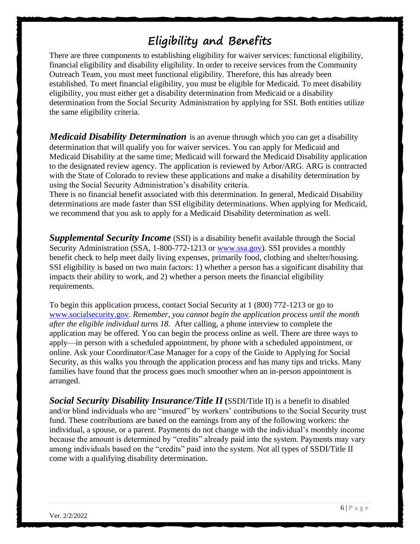# **Eligibility and Benefits**

There are three components to establishing eligibility for waiver services: functional eligibility, financial eligibility and disability eligibility. In order to receive services from the Community Outreach Team, you must meet functional eligibility. Therefore, this has already been established. To meet financial eligibility, you must be eligible for Medicaid. To meet disability eligibility, you must either get a disability determination from Medicaid or a disability determination from the Social Security Administration by applying for SSI. Both entities utilize the same eligibility criteria.

*Medicaid Disability Determination* is an avenue through which you can get a disability determination that will qualify you for waiver services. You can apply for Medicaid and Medicaid Disability at the same time; Medicaid will forward the Medicaid Disability application to the designated review agency. The application is reviewed by Arbor/ARG. ARG is contracted with the State of Colorado to review these applications and make a disability determination by using the Social Security Administration's disability criteria.

There is no financial benefit associated with this determination. In general, Medicaid Disability determinations are made faster than SSI eligibility determinations. When applying for Medicaid, we recommend that you ask to apply for a Medicaid Disability determination as well.

**Supplemental Security Income** (SSI) is a disability benefit available through the Social Security Administration (SSA, 1-800-772-1213 or [www.ssa.gov\)](http://www.ssa.gov/). SSI provides a monthly benefit check to help meet daily living expenses, primarily food, clothing and shelter/housing. SSI eligibility is based on two main factors: 1) whether a person has a significant disability that impacts their ability to work, and 2) whether a person meets the financial eligibility requirements.

To begin this application process, contact Social Security at 1 (800) 772-1213 or go to [www.socialsecurity.gov.](http://www.socialsecurity.gov/) *Remember, you cannot begin the application process until the month after the eligible individual turns 18.* After calling, a phone interview to complete the application may be offered. You can begin the process online as well. There are three ways to apply—in person with a scheduled appointment, by phone with a scheduled appointment, or online. Ask your Coordinator/Case Manager for a copy of the Guide to Applying for Social Security, as this walks you through the application process and has many tips and tricks. Many families have found that the process goes much smoother when an in-person appointment is arranged.

**Social Security Disability Insurance/Title II** (SSDI/Title II) is a benefit to disabled and/or blind individuals who are "insured" by workers' contributions to the Social Security trust fund. These contributions are based on the earnings from any of the following workers: the individual, a spouse, or a parent. Payments do not change with the individual's monthly income because the amount is determined by "credits" already paid into the system. Payments may vary among individuals based on the "credits" paid into the system. Not all types of SSDI/Title II come with a qualifying disability determination.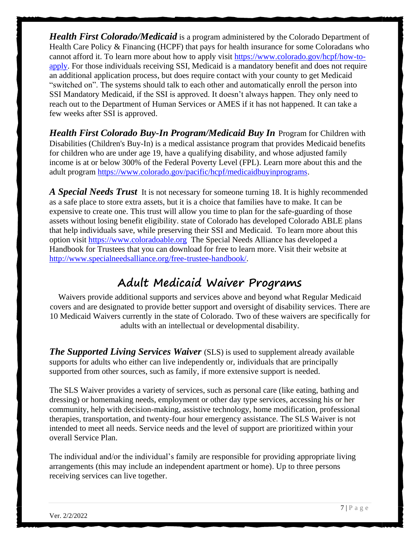*Health First Colorado/Medicaid* is a program administered by the Colorado Department of Health Care Policy & Financing (HCPF) that pays for health insurance for some Coloradans who cannot afford it. To learn more about how to apply visit [https://www.colorado.gov/hcpf/how-to](https://www.colorado.gov/hcpf/how-to-apply)[apply.](https://www.colorado.gov/hcpf/how-to-apply) For those individuals receiving SSI, Medicaid is a mandatory benefit and does not require an additional application process, but does require contact with your county to get Medicaid "switched on". The systems should talk to each other and automatically enroll the person into SSI Mandatory Medicaid, if the SSI is approved. It doesn't always happen. They only need to reach out to the Department of Human Services or AMES if it has not happened. It can take a few weeks after SSI is approved.

*Health First Colorado Buy-In Program/Medicaid Buy In* Program for Children with Disabilities (Children's Buy-In) is a medical assistance program that provides Medicaid benefits for children who are under age 19, have a qualifying disability, and whose adjusted family income is at or below 300% of the Federal Poverty Level (FPL). Learn more about this and the adult program [https://www.colorado.gov/pacific/hcpf/medicaidbuyinprograms.](https://www.colorado.gov/pacific/hcpf/medicaidbuyinprograms)

*A Special Needs Trust* It is not necessary for someone turning 18. It is highly recommended as a safe place to store extra assets, but it is a choice that families have to make. It can be expensive to create one. This trust will allow you time to plan for the safe-guarding of those assets without losing benefit eligibility. state of Colorado has developed Colorado ABLE plans that help individuals save, while preserving their SSI and Medicaid. To learn more about this option visit [https://www.coloradoable.org](https://www.coloradoable.org/) The Special Needs Alliance has developed a Handbook for Trustees that you can download for free to learn more. Visit their website at [http://www.specialneedsalliance.org/free-trustee-handbook/.](http://www.specialneedsalliance.org/free-trustee-handbook/)

## **Adult Medicaid Waiver Programs**

Waivers provide additional supports and services above and beyond what Regular Medicaid covers and are designated to provide better support and oversight of disability services. There are 10 Medicaid Waivers currently in the state of Colorado. Two of these waivers are specifically for adults with an intellectual or developmental disability.

*The Supported Living Services Waiver* (SLS) is used to supplement already available supports for adults who either can live independently or, individuals that are principally supported from other sources, such as family, if more extensive support is needed.

The SLS Waiver provides a variety of services, such as personal care (like eating, bathing and dressing) or homemaking needs, employment or other day type services, accessing his or her community, help with decision-making, assistive technology, home modification, professional therapies, transportation, and twenty-four hour emergency assistance. The SLS Waiver is not intended to meet all needs. Service needs and the level of support are prioritized within your overall Service Plan.

The individual and/or the individual's family are responsible for providing appropriate living arrangements (this may include an independent apartment or home). Up to three persons receiving services can live together.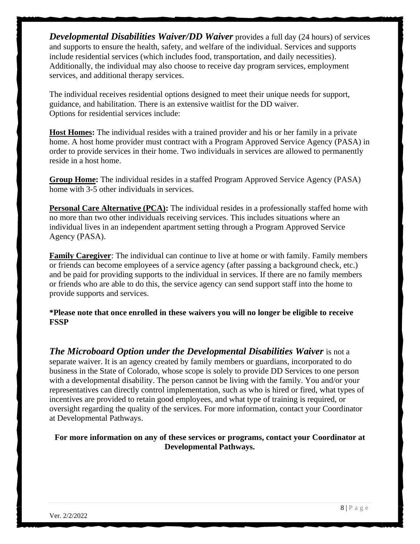*Developmental Disabilities Waiver/DD Waiver* provides a full day (24 hours) of services and supports to ensure the health, safety, and welfare of the individual. Services and supports include residential services (which includes food, transportation, and daily necessities). Additionally, the individual may also choose to receive day program services, employment services, and additional therapy services.

The individual receives residential options designed to meet their unique needs for support, guidance, and habilitation. There is an extensive waitlist for the DD waiver. Options for residential services include:

**Host Homes:** The individual resides with a trained provider and his or her family in a private home. A host home provider must contract with a Program Approved Service Agency (PASA) in order to provide services in their home. Two individuals in services are allowed to permanently reside in a host home.

**Group Home:** The individual resides in a staffed Program Approved Service Agency (PASA) home with 3-5 other individuals in services.

**Personal Care Alternative (PCA):** The individual resides in a professionally staffed home with no more than two other individuals receiving services. This includes situations where an individual lives in an independent apartment setting through a Program Approved Service Agency (PASA).

**Family Caregiver**: The individual can continue to live at home or with family. Family members or friends can become employees of a service agency (after passing a background check, etc.) and be paid for providing supports to the individual in services. If there are no family members or friends who are able to do this, the service agency can send support staff into the home to provide supports and services.

**\*Please note that once enrolled in these waivers you will no longer be eligible to receive FSSP**

*The Microboard Option under the Developmental Disabilities Waiver* **is not a** separate waiver. It is an agency created by family members or guardians, incorporated to do business in the State of Colorado, whose scope is solely to provide DD Services to one person with a developmental disability. The person cannot be living with the family. You and/or your representatives can directly control implementation, such as who is hired or fired, what types of incentives are provided to retain good employees, and what type of training is required, or oversight regarding the quality of the services. For more information, contact your Coordinator at Developmental Pathways.

**For more information on any of these services or programs, contact your Coordinator at Developmental Pathways.**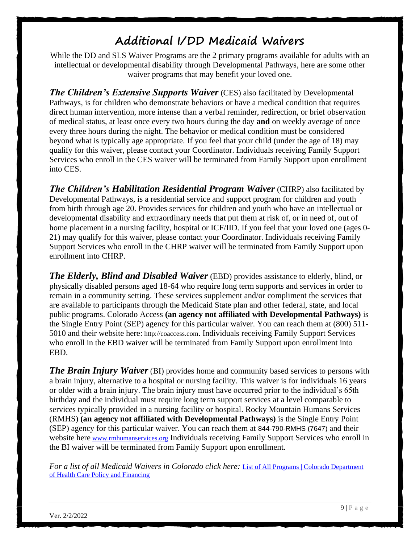## **Additional I/DD Medicaid Waivers**

While the DD and SLS Waiver Programs are the 2 primary programs available for adults with an intellectual or developmental disability through Developmental Pathways, here are some other waiver programs that may benefit your loved one.

*The Children's Extensive Supports Waiver* (CES) also facilitated by Developmental Pathways, is for children who demonstrate behaviors or have a medical condition that requires direct human intervention, more intense than a verbal reminder, redirection, or brief observation of medical status, at least once every two hours during the day **and** on weekly average of once every three hours during the night. The behavior or medical condition must be considered beyond what is typically age appropriate. If you feel that your child (under the age of 18) may qualify for this waiver, please contact your Coordinator. Individuals receiving Family Support Services who enroll in the CES waiver will be terminated from Family Support upon enrollment into CES.

*The Children's Habilitation Residential Program Waiver* (CHRP) also facilitated by Developmental Pathways, is a residential service and support program for children and youth from birth through age 20. Provides services for children and youth who have an intellectual or developmental disability and extraordinary needs that put them at risk of, or in need of, out of home placement in a nursing facility, hospital or ICF/IID. If you feel that your loved one (ages 0- 21) may qualify for this waiver, please contact your Coordinator. Individuals receiving Family Support Services who enroll in the CHRP waiver will be terminated from Family Support upon enrollment into CHRP.

*The Elderly, Blind and Disabled Waiver* (EBD) provides assistance to elderly, blind, or physically disabled persons aged 18-64 who require long term supports and services in order to remain in a community setting. These services supplement and/or compliment the services that are available to participants through the Medicaid State plan and other federal, state, and local public programs. Colorado Access **(an agency not affiliated with Developmental Pathways)** is the Single Entry Point (SEP) agency for this particular waiver. You can reach them at (800) 511- 5010 and their website here: http://coaccess.com. Individuals receiving Family Support Services who enroll in the EBD waiver will be terminated from Family Support upon enrollment into EBD.

*The Brain Injury Waiver* (BI) provides home and community based services to persons with a brain injury, alternative to a hospital or nursing facility. This waiver is for individuals 16 years or older with a brain injury. The brain injury must have occurred prior to the individual's 65th birthday and the individual must require long term support services at a level comparable to services typically provided in a nursing facility or hospital. Rocky Mountain Humans Services (RMHS) **(an agency not affiliated with Developmental Pathways)** is the Single Entry Point (SEP) agency for this particular waiver. You can reach them at 844-790-RMHS (7647) and their website here [www.rmhumanservices.org](http://www.rmhumanservices.org/) Individuals receiving Family Support Services who enroll in the BI waiver will be terminated from Family Support upon enrollment.

*For a list of all Medicaid Waivers in Colorado click here:* [List of All Programs | Colorado Department](https://www.colorado.gov/pacific/hcpf/program-list)  [of Health Care Policy and Financing](https://www.colorado.gov/pacific/hcpf/program-list)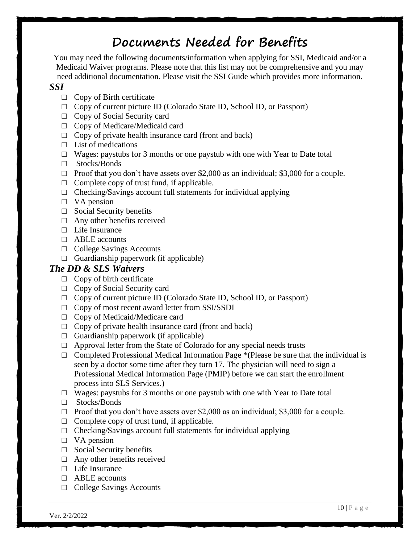# **Documents Needed for Benefits**

You may need the following documents/information when applying for SSI, Medicaid and/or a Medicaid Waiver programs. Please note that this list may not be comprehensive and you may need additional documentation. Please visit the SSI Guide which provides more information.

#### *SSI*

- $\Box$  Copy of Birth certificate
- □ Copy of current picture ID (Colorado State ID, School ID, or Passport)
- □ Copy of Social Security card
- □ Copy of Medicare/Medicaid card
- $\Box$  Copy of private health insurance card (front and back)
- $\Box$  List of medications
- $\Box$  Wages: paystubs for 3 months or one paystub with one with Year to Date total
- □ Stocks/Bonds
- $\Box$  Proof that you don't have assets over \$2,000 as an individual; \$3,000 for a couple.
- $\Box$  Complete copy of trust fund, if applicable.
- $\Box$  Checking/Savings account full statements for individual applying
- □ VA pension
- $\Box$  Social Security benefits
- □ Any other benefits received
- □ Life Insurance
- $\Box$  ABLE accounts
- □ College Savings Accounts
- $\Box$  Guardianship paperwork (if applicable)

#### *The DD & SLS Waivers*

- $\Box$  Copy of birth certificate
- □ Copy of Social Security card
- □ Copy of current picture ID (Colorado State ID, School ID, or Passport)
- □ Copy of most recent award letter from SSI/SSDI
- □ Copy of Medicaid/Medicare card
- $\Box$  Copy of private health insurance card (front and back)
- $\Box$  Guardianship paperwork (if applicable)
- $\Box$  Approval letter from the State of Colorado for any special needs trusts
- $\Box$  Completed Professional Medical Information Page \*(Please be sure that the individual is seen by a doctor some time after they turn 17. The physician will need to sign a Professional Medical Information Page (PMIP) before we can start the enrollment process into SLS Services.)
- $\Box$  Wages: paystubs for 3 months or one paystub with one with Year to Date total
- □ Stocks/Bonds
- $\Box$  Proof that you don't have assets over \$2,000 as an individual; \$3,000 for a couple.
- $\Box$  Complete copy of trust fund, if applicable.
- $\Box$  Checking/Savings account full statements for individual applying
- □ VA pension
- □ Social Security benefits
- $\Box$  Any other benefits received
- □ Life Insurance
- $\Box$  ABLE accounts
- □ College Savings Accounts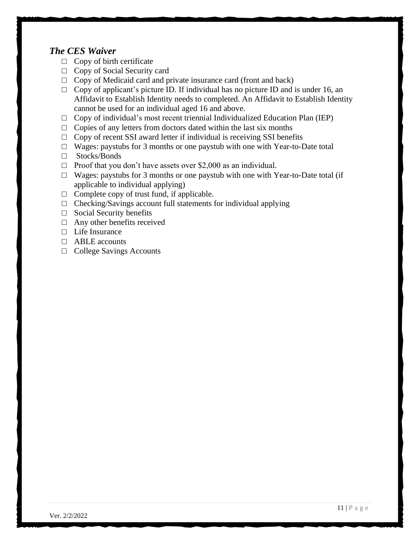#### *The CES Waiver*

- $\Box$  Copy of birth certificate
- □ Copy of Social Security card
- $\Box$  Copy of Medicaid card and private insurance card (front and back)
- $\Box$  Copy of applicant's picture ID. If individual has no picture ID and is under 16, an Affidavit to Establish Identity needs to completed. An Affidavit to Establish Identity cannot be used for an individual aged 16 and above.
- $\Box$  Copy of individual's most recent triennial Individualized Education Plan (IEP)
- $\Box$  Copies of any letters from doctors dated within the last six months
- $\Box$  Copy of recent SSI award letter if individual is receiving SSI benefits
- $\Box$  Wages: paystubs for 3 months or one paystub with one with Year-to-Date total
- □ Stocks/Bonds
- $\Box$  Proof that you don't have assets over \$2,000 as an individual.
- $\Box$  Wages: paystubs for 3 months or one paystub with one with Year-to-Date total (if applicable to individual applying)
- $\Box$  Complete copy of trust fund, if applicable.
- $\Box$  Checking/Savings account full statements for individual applying
- $\Box$  Social Security benefits
- $\Box$  Any other benefits received
- $\Box$  Life Insurance
- □ ABLE accounts
- □ College Savings Accounts